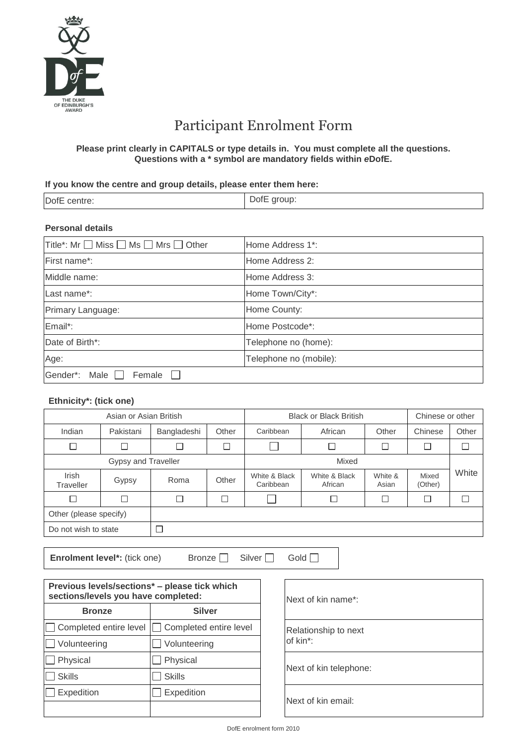

# Participant Enrolment Form

#### **Please print clearly in CAPITALS or type details in. You must complete all the questions. Questions with a \* symbol are mandatory fields within** *e***DofE.**

#### **If you know the centre and group details, please enter them here:**

| DofE centre: | DofE group: |
|--------------|-------------|
|              |             |

## **Personal details**

| Title*: Mr □ Miss □ Ms □ Mrs □ Other | Home Address 1 <sup>*</sup> : |  |  |
|--------------------------------------|-------------------------------|--|--|
| First name*:                         | Home Address 2:               |  |  |
| Middle name:                         | Home Address 3:               |  |  |
| Last name*:                          | Home Town/City*:              |  |  |
| Primary Language:                    | Home County:                  |  |  |
| Email*:                              | Home Postcode*:               |  |  |
| Date of Birth*:                      | Telephone no (home):          |  |  |
| Age:                                 | Telephone no (mobile):        |  |  |
| Gender*: Male<br>Female              |                               |  |  |

### **Ethnicity\*: (tick one)**

| Asian or Asian British    |           |             | <b>Black or Black British</b> |                            |                          | Chinese or other |                  |       |
|---------------------------|-----------|-------------|-------------------------------|----------------------------|--------------------------|------------------|------------------|-------|
| Indian                    | Pakistani | Bangladeshi | Other                         | Caribbean                  | African                  | Other            | Chinese          | Other |
| J                         |           |             |                               |                            |                          |                  | $\Box$           |       |
| Gypsy and Traveller       |           |             | Mixed                         |                            |                          |                  |                  |       |
| <b>Irish</b><br>Traveller | Gypsy     | Roma        | Other                         | White & Black<br>Caribbean | White & Black<br>African | White &<br>Asian | Mixed<br>(Other) | White |
| コ                         |           | Г           |                               |                            |                          |                  | $\Box$           |       |
| Other (please specify)    |           |             |                               |                            |                          |                  |                  |       |
| Do not wish to state      |           |             |                               |                            |                          |                  |                  |       |

**Enrolment level\*:** (tick one) Bronze Silver Gold Gold G

| Previous levels/sections* - please tick which<br>sections/levels you have completed: |               |  | Next of kin name*:    |
|--------------------------------------------------------------------------------------|---------------|--|-----------------------|
| <b>Silver</b><br><b>Bronze</b>                                                       |               |  |                       |
| □ Completed entire level □ Completed entire level                                    |               |  | Relationship to next  |
| $\Box$ Volunteering                                                                  | Volunteering  |  | of kin*:              |
| $\Box$ Physical                                                                      | Physical      |  |                       |
| <b>Skills</b>                                                                        | <b>Skills</b> |  | Next of kin telephone |
| Expedition<br>Expedition                                                             |               |  | Next of kin email:    |
|                                                                                      |               |  |                       |

| Next of kin name*:               |
|----------------------------------|
| Relationship to next<br>of kin*: |
| Next of kin telephone:           |
| Next of kin email:               |